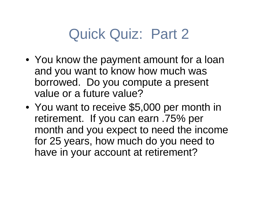## Quick Quiz: Part 2

- You know the payment amount for a loan and you want to know how much was borrowed. Do you compute a present value or a future value?
- $\bullet$  You want to receive  $\mathcal{R}^{\mu}$  You want to receive \$5,000 per month in retirement. If you can earn .75% per month and you expect to need the income for 25 years, how much do you need to have in your account at retirement?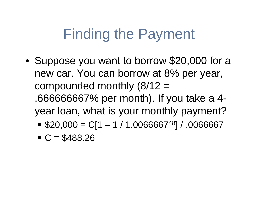## Finding the Payment

- • Suppose you want to borrow \$20,000 for a new car. You can borrow at 8% per year, compounded monthly  $(8/12 =$ .666666667% per month). If you take a 4year loan, what is your monthly payment?
	- $\bullet$  \$20,000 = C[1 1 / 1.0066667<sup>48</sup>] / .0066667
	- $C = $488.26$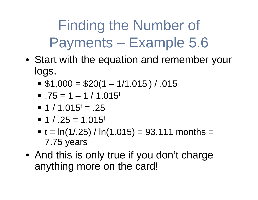Finding the Number of Payments – Example 5.6

- Start with the equation and remember your logs.
	- $\bullet$  \$1,000 = \$20(1 1/1.015<sup>t</sup>) / .015
	- $\blacksquare$ .75 = 1 1 / 1.015<sup>t</sup>
	- $\blacksquare$  1 / 1.015<sup>t</sup> = .25
	- $-1 / .25 = 1.015$
	- t = ln(1/.25) / ln(1.015) = 93.111 months = 7.75 years
- And this is only true if you don't charge anything more on the card!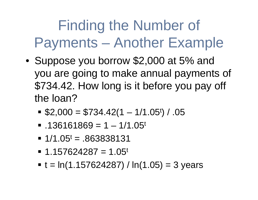# Finding the Number of Payments – Another Example

- • Suppose you borrow \$2,000 at 5% and you are going to make annual payments of \$734.42. How long is it before you pay off the loan?
	- $\$2,000 = \$734.42(1 1/1.05)$  / .05
	- .136161869 = 1 1/1.05<sup>t</sup>
	- $\blacksquare$  1/1.05<sup>t</sup> = .863838131
	- $\blacksquare$  1.157624287 = 1.05<sup>t</sup>
	- $t = ln(1.157624287) / ln(1.05) = 3$  years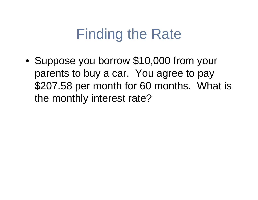## Finding the Rate

• Suppose you borrow \$10,000 from your parents to buy a car. You agree to pay \$207.58 per month for 60 months. What is the monthly interest rate?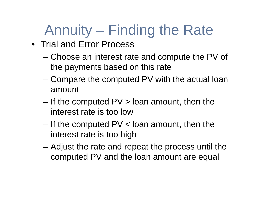# Annuity – Finding the Rate

- Trial and Error Process
	- – Choose an interest rate and compute the PV of the payments based on this rate
	- – Compare the computed PV with the actual loan amount
	- –If the computed  $PV >$  loan amount, then the interest rate is too low
	- –If the computed  $PV <$  Ioan amount, then the interest rate is too high
	- – Adjust the rate and repeat the process until the computed PV and the loan amount are equal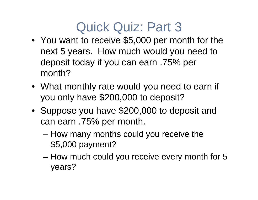## Quick Quiz: Part 3

- You want to receive \$5,000 per month for the next 5 years. How much would you need to deposit today if you can earn .75% per month?
- What monthly rate would you need to earn if you only have \$200,000 to deposit?
- Suppose you have \$200,000 to deposit and can earn .75% per month.
	- – How many months could you receive the \$5,000 payment?
	- – How much could you receive every month for 5 years?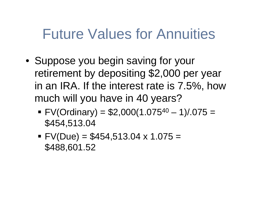#### Future Values for Annuities

- Suppose you begin saving for your retirement by depositing \$2,000 per year in an IRA. If the interest rate is 7.5%, how much will you have in 40 years?
	- $\blacktriangleright$  FV(Ordinary) = \$2,000(1.075<sup>40</sup> 1)/.075 = \$454,513.04
	- $\blacktriangleright$  FV(Due) = \$454,513.04 x 1.075 = \$488,601.52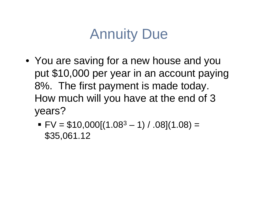## Annuity Due

- You are saving for a new house and you put \$10,000 per year in an account paying 8%. The first payment is made today. How much will you have at the end of 3 years?
	- $\blacksquare$  FV = \$10,000[(1.08<sup>3</sup> 1) / .08](1.08) = \$35,061.12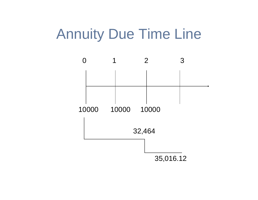#### Annuity Due Time Line

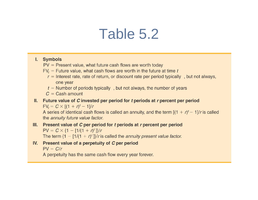## Table 5.2

#### I. Symbols

- $PV =$  Present value, what future cash flows are worth today
- $FV_t$  = Future value, what cash flows are worth in the future at time t
	- $r =$  Interest rate, rate of return, or discount rate per period typically, but not always, one year
	- $t =$  Number of periods typically, but not always, the number of years
	- $C =$ Cash amount
- II. Future value of C invested per period for t periods at r percent per period  $FV_t = C \times [(1 + r)^t - 1]/r$

A series of identical cash flows is called an annuity, and the term  $[(1 + r)^t - 1]/r$  is called the annuity future value factor.

#### Present value of C per period for t periods at r percent per period  $III.$  $PV = C \times \{1 - [1/(1 + r)^{t}]\}/r$

The term  $\{1 - [1/(1 + r)^t]\}/r$  is called the annuity present value factor.

Present value of a perpetuity of C per period  $IV.$  $PV = C/r$ 

A perpetuity has the same cash flow every year forever.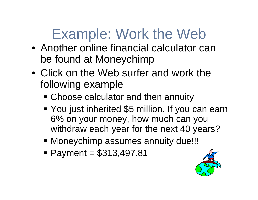# Example: Work the Web

- Another online financial calculator can be found at Moneychimp
- Click on the Web surfer and work the following example
	- **Choose calculator and then annuity**
	- You just inherited \$5 million. If you can earn 6% on your money, how much can you withdraw each year for the next 40 years?
	- Moneychimp assumes annuity due!!!
	- Payment = \$313,497.81

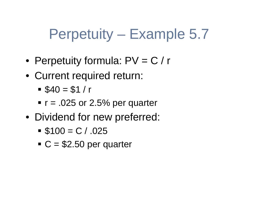## Perpetuity – Example 5.7

- Perpetuity formula: PV = C / r
- Current required return:
	- $\bullet$  \$40 = \$1 / r
	- $r = 0.025$  or 2.5% per quarter
- Dividend for new preferred:
	- $\$100 = C / .025$
	- $\textdegree$  C = \$2.50 per quarter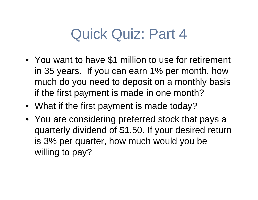### Quick Quiz: Part 4

- You want to have \$1 million to use for retirement in 35 years. If you can earn 1% per month, how much do you need to deposit on a monthly basis if the first payment is made in one month?
- What if the first payment is made today?
- You are considering preferred stock that pays a quarterly dividend of \$1.50. If your desired returnis 3% per quarter, how much would you be willing to pay?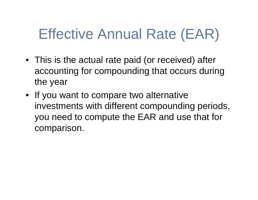# Effective Annual Rate (EAR)

- This is the actual rate paid (or received) after accounting for compounding that occurs during the year
- If you want to compare two alternative investments with different compounding periods, you need to compute the EAR and use that for comparison.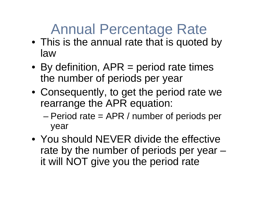# Annual Percentage Rate

- This is the annual rate that is quoted by law
- By definition, APR = period rate times the number of periods per year
- Consequently, to get the period rate we rearrange the APR equation:
	- – Period rate = APR / number of periods per year
- You should NEVER divide the effective rate by the number of periods per year –it will NOT give you the period rate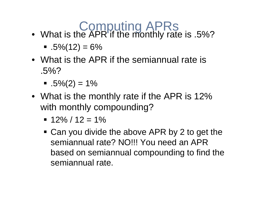# Computing APRs

• What is the APR'if the monthly rate is .5%?

 $\blacksquare$  .5%(12) = 6%

- What is the APR if the semiannual rate is .5%?
	- $\blacksquare$  .5%(2) = 1%
- What is the monthly rate if the APR is 12% with monthly compounding?
	- $\blacksquare$  12% / 12 = 1%
	- Can you divide the above APR by 2 to get the semiannual rate? NO!!! You need an APR based on semiannual compounding to find the semiannual rate.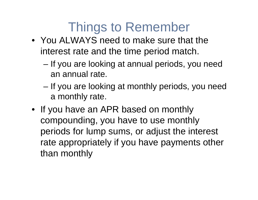### Things to Remember

- You ALWAYS need to make sure that the interest rate and the time period match.
	- – If you are looking at annual periods, you need an annual rate.
	- – If you are looking at monthly periods, you need a monthly rate.
- If you have an APR based on monthly compounding, you have to use monthly periods for lump sums, or adjust the interest rate appropriately if you have payments other than monthly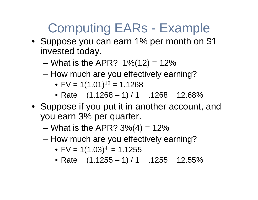### Computing EARs - Example

- Suppose you can earn 1% per month on \$1 invested today.
	- –What is the APR?  $1\% (12) = 12\%$
	- – How much are you effectively earning?
		- FV = 1(1.01) $^{12}$  = 1.1268
		- Rate = (1.1268 1) / 1 = .1268 = 12.68%
- Suppose if you put it in another account, and you earn 3% per quarter.
	- –What is the APR?  $3\%(4) = 12\%$
	- $-$  HAW MULL'A 214 VALLAHAMAN How much are you effectively earning?
		- FV = 1(1.03) $^4$  = 1.1255
		- Rate = (1.1255 1) / 1 = .1255 = 12.55%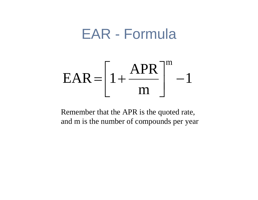#### EAR - Formula



Remember that the APR is the quoted rate, and m is the number of compounds per year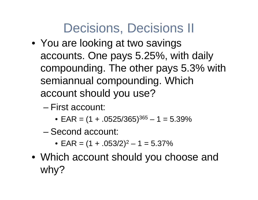#### Decisions, Decisions II

- You are looking at two savings accounts. One pays 5.25%, with daily compounding. The other pays 5.3% with semiannual compounding. Which account should you use?
	- – First account:
		- $\bullet$  EAR = (1 + .0525/365) $^{365}$   $-$  1 = 5.39%
	- – Second account:
		- EAR =  $(1 + .053/2)^2 1 = 5.37\%$
- Which account should you choose and why?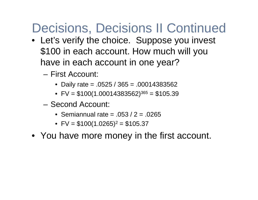### Decisions, Decisions II Continued

- Let's verify the choice. Suppose you invest \$100 in each account. How much will you have in each account in one year?
	- First Account:
		- Daily rate = .0525 / 365 = .00014383562
		- FV =  $$100(1.00014383562)^{365} = $105.39$
	- Second Account:
		- Semiannual rate = .053 / 2 = .0265
		- FV =  $$100(1.0265)^2 = $105.37$
- You have more money in the first account.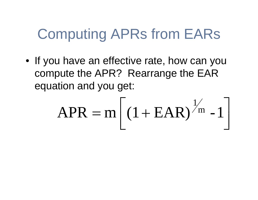# Computing APRs from EARs

• If you have an effective rate, how can you compute the APR? Rearrange the EAR equation and you get:

$$
APR = m \left[ (1 + EAR)^{\frac{1}{m}} - 1 \right]
$$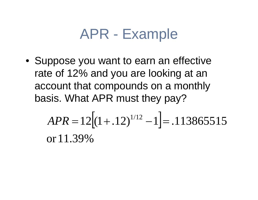### APR - Example

• Suppose you want to earn an effective rate of 12% and you are looking at an account that compounds on a monthly basis. What APR must they pay?

$$
APR = 12[(1+.12)^{1/12} - 1] = .113865515
$$
  
or 11.39%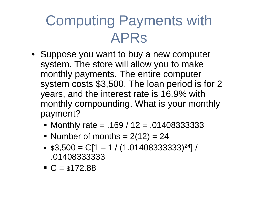# Computing Payments with APRs

- Suppose you want to buy a new computer system. The store will allow you to make monthly payments. The entire computer system costs \$3,500. The loan period is for 2 years, and the interest rate is 16.9% with monthly compounding. What is your monthly payment?
	- Monthly rate = .169 / 12 = .01408333333
	- Number of months  $= 2(12) = 24$
	- $$3,500 = C[1 - 1 / (1.01408333333)^{24}]/$ .01408333333
	- $\blacksquare$  C = \$172.88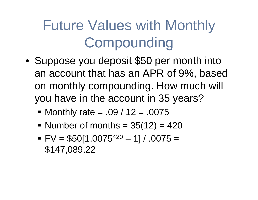# Future Values with Monthly **Compounding**

- • Suppose you deposit \$50 per month into an account that has an APR of 9%, based on monthly compounding. How much will you have in the account in 35 years?
	- Monthly rate = .09 / 12 = .0075
	- Number of months  $= 35(12) = 420$
	- $\bullet$  FV = \$50[1.0075<sup>420</sup> 1] / .0075 = \$147,089.22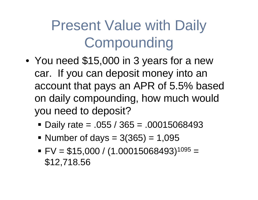# Present Value with Daily **Compounding**

- • You need \$15,000 in 3 years for a new car. If you can deposit money into an account that pays an APR of 5.5% based on daily compounding, how much would you need to deposit?
	- Daily rate = .055 / 365 = .00015068493
	- Number of days  $= 3(365) = 1,095$
	- $\textsf{FV} = $15,000 / (1.00015068493)^{1095} =$ \$12,718.56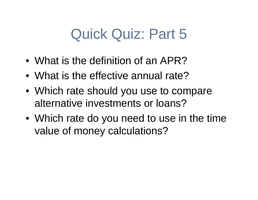## Quick Quiz: Part 5

- What is the definition of an APR?
- What is the effective annual rate?
- Which rate should you use to compare alternative investments or loans?
- Which rate do you need to use in the time value of money calculations?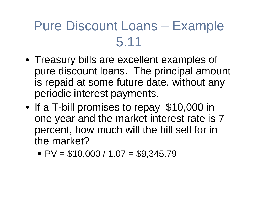### Pure Discount Loans – Example 5.11

- Treasury bills are excellent examples of pure discount loans. The principal amount is repaid at some future date, without any periodic interest payments.
- • If a T-bill promises to repay \$10,000 in one year and the market interest rate is 7 percent, how much will the bill sell for in the market?
	- $\bullet$  PV = \$10,000 / 1.07 = \$9,345.79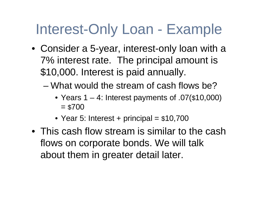# Interest-Only Loan - Example

- Consider a 5-year, interest-only loan with a 7% interest rate. The principal amount is \$10,000. Interest is paid annually.
	- What would the stream of cash flows be?
		- Years 1 4: Interest payments of .07(\$10,000) = \$700
		- Year 5: Interest + principal = \$10,700
- This cash flow stream is similar to the cash flows on corporate bonds. We will talk about them in greater detail later.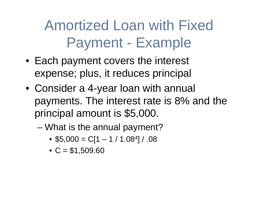# Amortized Loan with Fixed Payment - Example

- Each payment covers the interest expense; plus, it reduces principal
- Consider a 4-year loan with annual payments. The interest rate is 8% and the principal amount is \$5,000.
	- – What is the annual payment?
		- \$5,000 = C[1 1 / 1.084] / .08
		- $\bullet$  C = \$1,509.60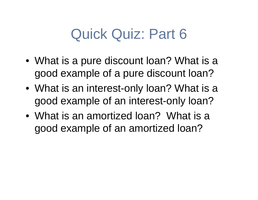## Quick Quiz: Part 6

- What is a pure discount loan? What is a good example of a pure discount loan?
- What is an interest-only loan? What is a good example of an interest-only loan?
- What is an amortized loan? What is a good example of an amortized loan?